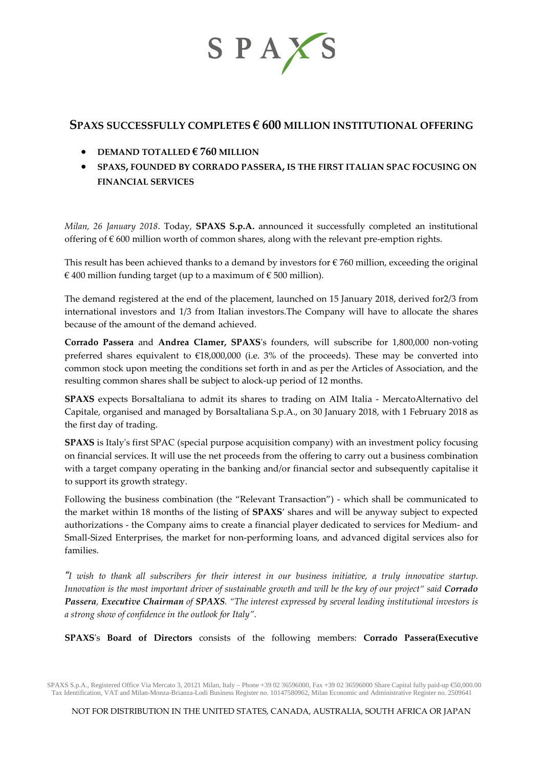

# **SPAXS SUCCESSFULLY COMPLETES € 600 MILLION INSTITUTIONAL OFFERING**

- **DEMAND TOTALLED € 760 MILLION**
- **SPAXS, FOUNDED BY CORRADO PASSERA, IS THE FIRST ITALIAN SPAC FOCUSING ON FINANCIAL SERVICES**

*Milan, 26 January 2018*. Today, **SPAXS S.p.A.** announced it successfully completed an institutional offering of  $\epsilon$  600 million worth of common shares, along with the relevant pre-emption rights.

This result has been achieved thanks to a demand by investors for  $\epsilon$  760 million, exceeding the original € 400 million funding target (up to a maximum of  $€$  500 million).

The demand registered at the end of the placement, launched on 15 January 2018, derived for2/3 from international investors and 1/3 from Italian investors.The Company will have to allocate the shares because of the amount of the demand achieved.

**Corrado Passera** and **Andrea Clamer, SPAXS**'s founders, will subscribe for 1,800,000 non-voting preferred shares equivalent to  $£18,000,000$  (i.e. 3% of the proceeds). These may be converted into common stock upon meeting the conditions set forth in and as per the Articles of Association, and the resulting common shares shall be subject to alock-up period of 12 months.

**SPAXS** expects BorsaItaliana to admit its shares to trading on AIM Italia - MercatoAlternativo del Capitale, organised and managed by BorsaItaliana S.p.A., on 30 January 2018, with 1 February 2018 as the first day of trading.

**SPAXS** is Italy's first SPAC (special purpose acquisition company) with an investment policy focusing on financial services. It will use the net proceeds from the offering to carry out a business combination with a target company operating in the banking and/or financial sector and subsequently capitalise it to support its growth strategy.

Following the business combination (the "Relevant Transaction") - which shall be communicated to the market within 18 months of the listing of **SPAXS**' shares and will be anyway subject to expected authorizations - the Company aims to create a financial player dedicated to services for Medium- and Small-Sized Enterprises, the market for non-performing loans, and advanced digital services also for families.

*"I wish to thank all subscribers for their interest in our business initiative, a truly innovative startup. Innovation is the most important driver of sustainable growth and will be the key of our project" said Corrado Passera, Executive Chairman of SPAXS. "The interest expressed by several leading institutional investors is a strong show of confidence in the outlook for Italy".*

**SPAXS**'s **Board of Directors** consists of the following members: **Corrado Passera(Executive** 

SPAXS S.p.A., Registered Office Via Mercato 3, 20121 Milan, Italy – Phone +39 02 36596000, Fax +39 02 36596000 Share Capital fully paid-up €50,000.00 Tax Identification, VAT and Milan-Monza-Brianza-Lodi Business Register no. 10147580962, Milan Economic and Administrative Register no. 2509641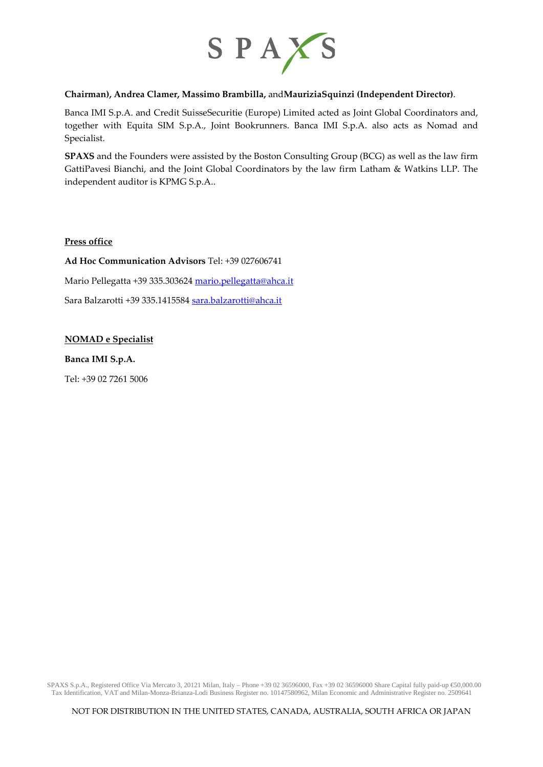

## **Chairman), Andrea Clamer, Massimo Brambilla,** and**MauriziaSquinzi (Independent Director)**.

Banca IMI S.p.A. and Credit SuisseSecuritie (Europe) Limited acted as Joint Global Coordinators and, together with Equita SIM S.p.A., Joint Bookrunners. Banca IMI S.p.A. also acts as Nomad and Specialist.

**SPAXS** and the Founders were assisted by the Boston Consulting Group (BCG) as well as the law firm GattiPavesi Bianchi, and the Joint Global Coordinators by the law firm Latham & Watkins LLP. The independent auditor is KPMG S.p.A..

### **Press office**

**Ad Hoc Communication Advisors** Tel: +39 027606741 Mario Pellegatta +39 335.30362[4 mario.pellegatta@ahca.it](mailto:mario.pellegatta@ahca.it) Sara Balzarotti +39 335.141558[4 sara.balzarotti@ahca.it](mailto:sara.balzarotti@ahca.it)

### **NOMAD e Specialist**

**Banca IMI S.p.A.** 

Tel: +39 02 7261 5006

SPAXS S.p.A., Registered Office Via Mercato 3, 20121 Milan, Italy – Phone +39 02 36596000, Fax +39 02 36596000 Share Capital fully paid-up €50,000.00 Tax Identification, VAT and Milan-Monza-Brianza-Lodi Business Register no. 10147580962, Milan Economic and Administrative Register no. 2509641